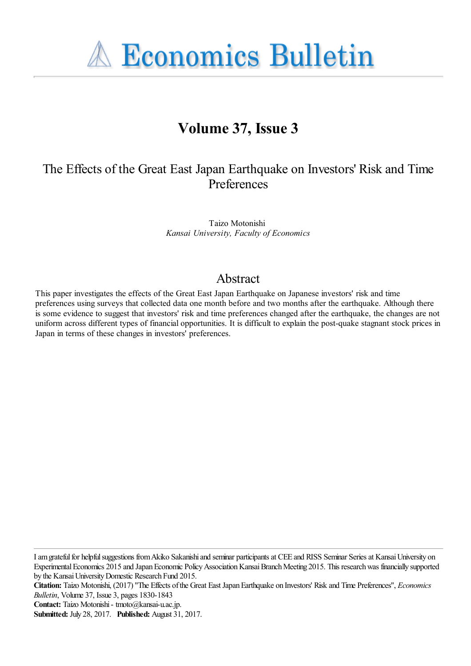**A Economics Bulletin** 

# **Volume 37, Issue 3**

# The Effects of the Great East Japan Earthquake on Investors' Risk and Time **Preferences**

Taizo Motonishi *Kansai University, Faculty of Economics*

### Abstract

This paper investigates the effects of the Great East Japan Earthquake on Japanese investors' risk and time preferences using surveys that collected data one month before and two months after the earthquake. Although there is some evidence to suggest that investors' risk and time preferences changed after the earthquake, the changes are not uniform across different types of financial opportunities. It is difficult to explain the post-quake stagnant stock prices in Japan in terms of these changes in investors' preferences.

I am grateful for helpful suggestions from Akiko Sakanishi and seminar participants at CEE and RISS Seminar Series at Kansai University on Experimental Economics 2015 and Japan Economic Policy Association Kansai Branch Meeting 2015. This research was financially supported by the Kansai University Domestic Research Fund 2015.

**Citation:** Taizo Motonishi, (2017) ''The Effects of the Great East Japan Earthquake on Investors' Risk and Time Preferences'', *Economics Bulletin*, Volume 37, Issue 3, pages 1830-1843

**Contact:** Taizo Motonishi - tmoto@kansai-u.ac.jp.

**Submitted:** July 28, 2017. **Published:** August 31, 2017.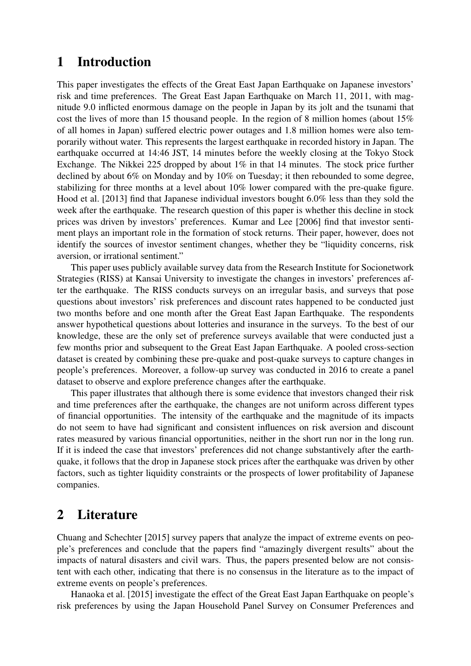# 1 Introduction

This paper investigates the effects of the Great East Japan Earthquake on Japanese investors' risk and time preferences. The Great East Japan Earthquake on March 11, 2011, with magnitude 9.0 inflicted enormous damage on the people in Japan by its jolt and the tsunami that cost the lives of more than 15 thousand people. In the region of 8 million homes (about 15% of all homes in Japan) suffered electric power outages and 1.8 million homes were also temporarily without water. This represents the largest earthquake in recorded history in Japan. The earthquake occurred at 14:46 JST, 14 minutes before the weekly closing at the Tokyo Stock Exchange. The Nikkei 225 dropped by about 1% in that 14 minutes. The stock price further declined by about 6% on Monday and by 10% on Tuesday; it then rebounded to some degree, stabilizing for three months at a level about 10% lower compared with the pre-quake figure. Hood et al. [2013] find that Japanese individual investors bought 6.0% less than they sold the week after the earthquake. The research question of this paper is whether this decline in stock prices was driven by investors' preferences. Kumar and Lee [2006] find that investor sentiment plays an important role in the formation of stock returns. Their paper, however, does not identify the sources of investor sentiment changes, whether they be "liquidity concerns, risk aversion, or irrational sentiment."

This paper uses publicly available survey data from the Research Institute for Socionetwork Strategies (RISS) at Kansai University to investigate the changes in investors' preferences after the earthquake. The RISS conducts surveys on an irregular basis, and surveys that pose questions about investors' risk preferences and discount rates happened to be conducted just two months before and one month after the Great East Japan Earthquake. The respondents answer hypothetical questions about lotteries and insurance in the surveys. To the best of our knowledge, these are the only set of preference surveys available that were conducted just a few months prior and subsequent to the Great East Japan Earthquake. A pooled cross-section dataset is created by combining these pre-quake and post-quake surveys to capture changes in people's preferences. Moreover, a follow-up survey was conducted in 2016 to create a panel dataset to observe and explore preference changes after the earthquake.

This paper illustrates that although there is some evidence that investors changed their risk and time preferences after the earthquake, the changes are not uniform across different types of financial opportunities. The intensity of the earthquake and the magnitude of its impacts do not seem to have had significant and consistent influences on risk aversion and discount rates measured by various financial opportunities, neither in the short run nor in the long run. If it is indeed the case that investors' preferences did not change substantively after the earthquake, it follows that the drop in Japanese stock prices after the earthquake was driven by other factors, such as tighter liquidity constraints or the prospects of lower profitability of Japanese companies.

# 2 Literature

Chuang and Schechter [2015] survey papers that analyze the impact of extreme events on people's preferences and conclude that the papers find "amazingly divergent results" about the impacts of natural disasters and civil wars. Thus, the papers presented below are not consistent with each other, indicating that there is no consensus in the literature as to the impact of extreme events on people's preferences.

Hanaoka et al. [2015] investigate the effect of the Great East Japan Earthquake on people's risk preferences by using the Japan Household Panel Survey on Consumer Preferences and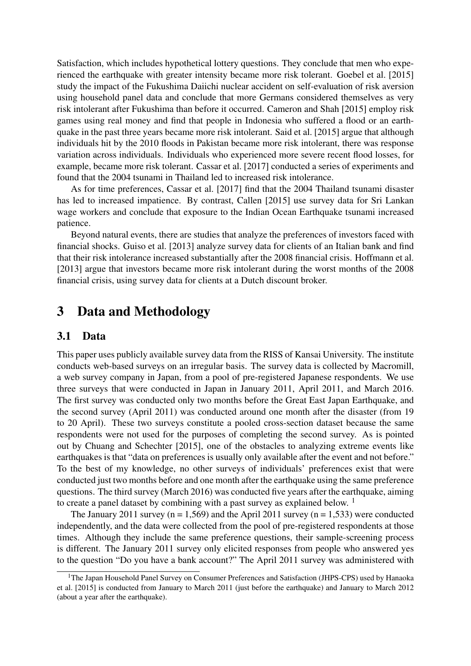Satisfaction, which includes hypothetical lottery questions. They conclude that men who experienced the earthquake with greater intensity became more risk tolerant. Goebel et al. [2015] study the impact of the Fukushima Daiichi nuclear accident on self-evaluation of risk aversion using household panel data and conclude that more Germans considered themselves as very risk intolerant after Fukushima than before it occurred. Cameron and Shah [2015] employ risk games using real money and find that people in Indonesia who suffered a flood or an earthquake in the past three years became more risk intolerant. Said et al. [2015] argue that although individuals hit by the 2010 floods in Pakistan became more risk intolerant, there was response variation across individuals. Individuals who experienced more severe recent flood losses, for example, became more risk tolerant. Cassar et al. [2017] conducted a series of experiments and found that the 2004 tsunami in Thailand led to increased risk intolerance.

As for time preferences, Cassar et al. [2017] find that the 2004 Thailand tsunami disaster has led to increased impatience. By contrast, Callen [2015] use survey data for Sri Lankan wage workers and conclude that exposure to the Indian Ocean Earthquake tsunami increased patience.

Beyond natural events, there are studies that analyze the preferences of investors faced with financial shocks. Guiso et al. [2013] analyze survey data for clients of an Italian bank and find that their risk intolerance increased substantially after the 2008 financial crisis. Hoffmann et al. [2013] argue that investors became more risk intolerant during the worst months of the 2008 financial crisis, using survey data for clients at a Dutch discount broker.

## 3 Data and Methodology

#### 3.1 Data

This paper uses publicly available survey data from the RISS of Kansai University. The institute conducts web-based surveys on an irregular basis. The survey data is collected by Macromill, a web survey company in Japan, from a pool of pre-registered Japanese respondents. We use three surveys that were conducted in Japan in January 2011, April 2011, and March 2016. The first survey was conducted only two months before the Great East Japan Earthquake, and the second survey (April 2011) was conducted around one month after the disaster (from 19 to 20 April). These two surveys constitute a pooled cross-section dataset because the same respondents were not used for the purposes of completing the second survey. As is pointed out by Chuang and Schechter [2015], one of the obstacles to analyzing extreme events like earthquakes is that "data on preferences is usually only available after the event and not before." To the best of my knowledge, no other surveys of individuals' preferences exist that were conducted just two months before and one month after the earthquake using the same preference questions. The third survey (March 2016) was conducted five years after the earthquake, aiming to create a panel dataset by combining with a past survey as explained below. <sup>1</sup>

The January 2011 survey ( $n = 1,569$ ) and the April 2011 survey ( $n = 1,533$ ) were conducted independently, and the data were collected from the pool of pre-registered respondents at those times. Although they include the same preference questions, their sample-screening process is different. The January 2011 survey only elicited responses from people who answered yes to the question "Do you have a bank account?" The April 2011 survey was administered with

<sup>&</sup>lt;sup>1</sup>The Japan Household Panel Survey on Consumer Preferences and Satisfaction (JHPS-CPS) used by Hanaoka et al. [2015] is conducted from January to March 2011 (just before the earthquake) and January to March 2012 (about a year after the earthquake).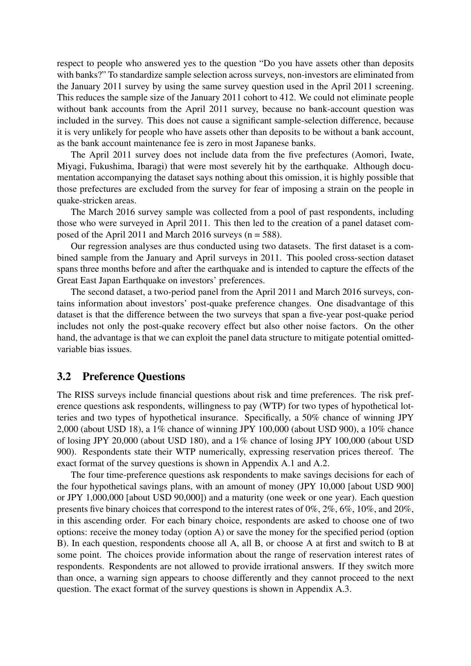respect to people who answered yes to the question "Do you have assets other than deposits with banks?" To standardize sample selection across surveys, non-investors are eliminated from the January 2011 survey by using the same survey question used in the April 2011 screening. This reduces the sample size of the January 2011 cohort to 412. We could not eliminate people without bank accounts from the April 2011 survey, because no bank-account question was included in the survey. This does not cause a significant sample-selection difference, because it is very unlikely for people who have assets other than deposits to be without a bank account, as the bank account maintenance fee is zero in most Japanese banks.

The April 2011 survey does not include data from the five prefectures (Aomori, Iwate, Miyagi, Fukushima, Ibaragi) that were most severely hit by the earthquake. Although documentation accompanying the dataset says nothing about this omission, it is highly possible that those prefectures are excluded from the survey for fear of imposing a strain on the people in quake-stricken areas.

The March 2016 survey sample was collected from a pool of past respondents, including those who were surveyed in April 2011. This then led to the creation of a panel dataset composed of the April 2011 and March 2016 surveys  $(n = 588)$ .

Our regression analyses are thus conducted using two datasets. The first dataset is a combined sample from the January and April surveys in 2011. This pooled cross-section dataset spans three months before and after the earthquake and is intended to capture the effects of the Great East Japan Earthquake on investors' preferences.

The second dataset, a two-period panel from the April 2011 and March 2016 surveys, contains information about investors' post-quake preference changes. One disadvantage of this dataset is that the difference between the two surveys that span a five-year post-quake period includes not only the post-quake recovery effect but also other noise factors. On the other hand, the advantage is that we can exploit the panel data structure to mitigate potential omittedvariable bias issues.

#### 3.2 Preference Questions

The RISS surveys include financial questions about risk and time preferences. The risk preference questions ask respondents, willingness to pay (WTP) for two types of hypothetical lotteries and two types of hypothetical insurance. Specifically, a 50% chance of winning JPY 2,000 (about USD 18), a 1% chance of winning JPY 100,000 (about USD 900), a 10% chance of losing JPY 20,000 (about USD 180), and a 1% chance of losing JPY 100,000 (about USD 900). Respondents state their WTP numerically, expressing reservation prices thereof. The exact format of the survey questions is shown in Appendix A.1 and A.2.

The four time-preference questions ask respondents to make savings decisions for each of the four hypothetical savings plans, with an amount of money (JPY 10,000 [about USD 900] or JPY 1,000,000 [about USD 90,000]) and a maturity (one week or one year). Each question presents five binary choices that correspond to the interest rates of 0%, 2%, 6%, 10%, and 20%, in this ascending order. For each binary choice, respondents are asked to choose one of two options: receive the money today (option A) or save the money for the specified period (option B). In each question, respondents choose all A, all B, or choose A at first and switch to B at some point. The choices provide information about the range of reservation interest rates of respondents. Respondents are not allowed to provide irrational answers. If they switch more than once, a warning sign appears to choose differently and they cannot proceed to the next question. The exact format of the survey questions is shown in Appendix A.3.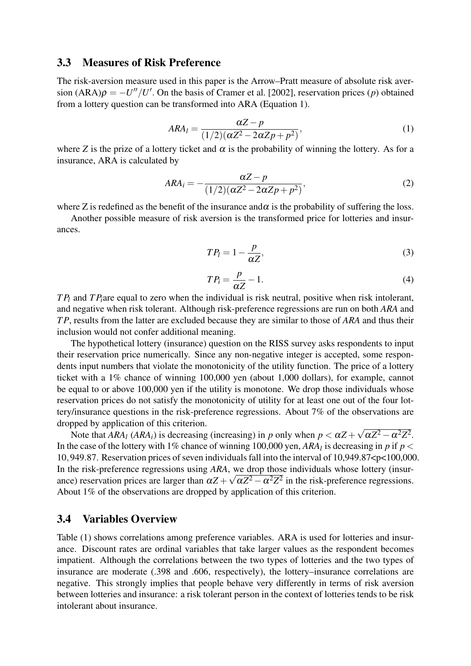#### 3.3 Measures of Risk Preference

The risk-aversion measure used in this paper is the Arrow–Pratt measure of absolute risk aversion  $(ARA)\rho = -U''/U'$ . On the basis of Cramer et al. [2002], reservation prices (*p*) obtained from a lottery question can be transformed into ARA (Equation 1).

$$
ARA_l = \frac{\alpha Z - p}{(1/2)(\alpha Z^2 - 2\alpha Zp + p^2)},
$$
\n(1)

where *Z* is the prize of a lottery ticket and  $\alpha$  is the probability of winning the lottery. As for a insurance, ARA is calculated by

$$
ARA_i = -\frac{\alpha Z - p}{(1/2)(\alpha Z^2 - 2\alpha Zp + p^2)},
$$
\n(2)

where Z is redefined as the benefit of the insurance and  $\alpha$  is the probability of suffering the loss.

Another possible measure of risk aversion is the transformed price for lotteries and insurances.

$$
TP_l = 1 - \frac{p}{\alpha Z},\tag{3}
$$

$$
TP_i = \frac{p}{\alpha Z} - 1.
$$
\n<sup>(4)</sup>

*T P<sup>l</sup>* and *T Pi*are equal to zero when the individual is risk neutral, positive when risk intolerant, and negative when risk tolerant. Although risk-preference regressions are run on both *ARA* and *T P*, results from the latter are excluded because they are similar to those of *ARA* and thus their inclusion would not confer additional meaning.

The hypothetical lottery (insurance) question on the RISS survey asks respondents to input their reservation price numerically. Since any non-negative integer is accepted, some respondents input numbers that violate the monotonicity of the utility function. The price of a lottery ticket with a 1% chance of winning 100,000 yen (about 1,000 dollars), for example, cannot be equal to or above 100,000 yen if the utility is monotone. We drop those individuals whose reservation prices do not satisfy the monotonicity of utility for at least one out of the four lottery/insurance questions in the risk-preference regressions. About 7% of the observations are dropped by application of this criterion.

Note that  $ARA_l$  ( $ARA_i$ ) is decreasing (increasing) in *p* only when  $p < \alpha Z + \sqrt{\alpha Z^2 - \alpha^2 Z^2}$ . In the case of the lottery with 1% chance of winning 100,000 yen,  $ARA_l$  is decreasing in *p* if  $p <$ 10,949.87. Reservation prices of seven individuals fall into the interval of 10,949.87<p<100,000. In the risk-preference regressions using *ARA*, we drop those individuals whose lottery (insurance) reservation prices are larger than  $\alpha Z + \sqrt{\alpha Z^2 - \alpha^2 Z^2}$  in the risk-preference regressions. About 1% of the observations are dropped by application of this criterion.

#### 3.4 Variables Overview

Table (1) shows correlations among preference variables. ARA is used for lotteries and insurance. Discount rates are ordinal variables that take larger values as the respondent becomes impatient. Although the correlations between the two types of lotteries and the two types of insurance are moderate (.398 and .606, respectively), the lottery–insurance correlations are negative. This strongly implies that people behave very differently in terms of risk aversion between lotteries and insurance: a risk tolerant person in the context of lotteries tends to be risk intolerant about insurance.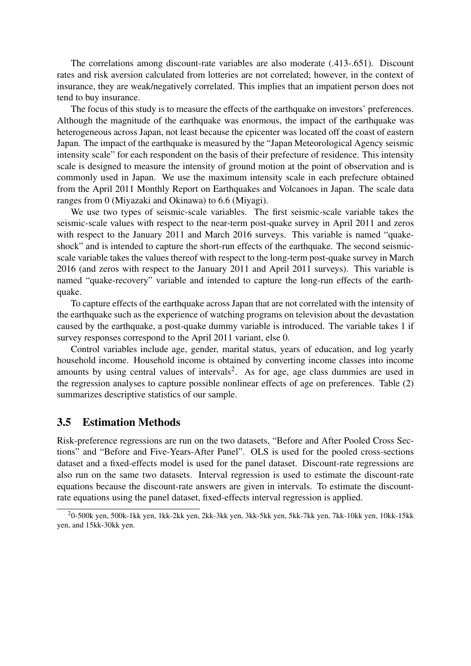The correlations among discount-rate variables are also moderate (.413-.651). Discount rates and risk aversion calculated from lotteries are not correlated; however, in the context of insurance, they are weak/negatively correlated. This implies that an impatient person does not tend to buy insurance.

The focus of this study is to measure the effects of the earthquake on investors' preferences. Although the magnitude of the earthquake was enormous, the impact of the earthquake was heterogeneous across Japan, not least because the epicenter was located off the coast of eastern Japan. The impact of the earthquake is measured by the "Japan Meteorological Agency seismic intensity scale" for each respondent on the basis of their prefecture of residence. This intensity scale is designed to measure the intensity of ground motion at the point of observation and is commonly used in Japan. We use the maximum intensity scale in each prefecture obtained from the April 2011 Monthly Report on Earthquakes and Volcanoes in Japan. The scale data ranges from 0 (Miyazaki and Okinawa) to 6.6 (Miyagi).

We use two types of seismic-scale variables. The first seismic-scale variable takes the seismic-scale values with respect to the near-term post-quake survey in April 2011 and zeros with respect to the January 2011 and March 2016 surveys. This variable is named "quakeshock" and is intended to capture the short-run effects of the earthquake. The second seismicscale variable takes the values thereof with respect to the long-term post-quake survey in March 2016 (and zeros with respect to the January 2011 and April 2011 surveys). This variable is named "quake-recovery" variable and intended to capture the long-run effects of the earthquake.

To capture effects of the earthquake across Japan that are not correlated with the intensity of the earthquake such as the experience of watching programs on television about the devastation caused by the earthquake, a post-quake dummy variable is introduced. The variable takes 1 if survey responses correspond to the April 2011 variant, else 0.

Control variables include age, gender, marital status, years of education, and log yearly household income. Household income is obtained by converting income classes into income amounts by using central values of intervals<sup>2</sup>. As for age, age class dummies are used in the regression analyses to capture possible nonlinear effects of age on preferences. Table (2) summarizes descriptive statistics of our sample.

#### 3.5 Estimation Methods

Risk-preference regressions are run on the two datasets, "Before and After Pooled Cross Sections" and "Before and Five-Years-After Panel". OLS is used for the pooled cross-sections dataset and a fixed-effects model is used for the panel dataset. Discount-rate regressions are also run on the same two datasets. Interval regression is used to estimate the discount-rate equations because the discount-rate answers are given in intervals. To estimate the discountrate equations using the panel dataset, fixed-effects interval regression is applied.

<sup>2</sup>0-500k yen, 500k-1kk yen, 1kk-2kk yen, 2kk-3kk yen, 3kk-5kk yen, 5kk-7kk yen, 7kk-10kk yen, 10kk-15kk yen, and 15kk-30kk yen.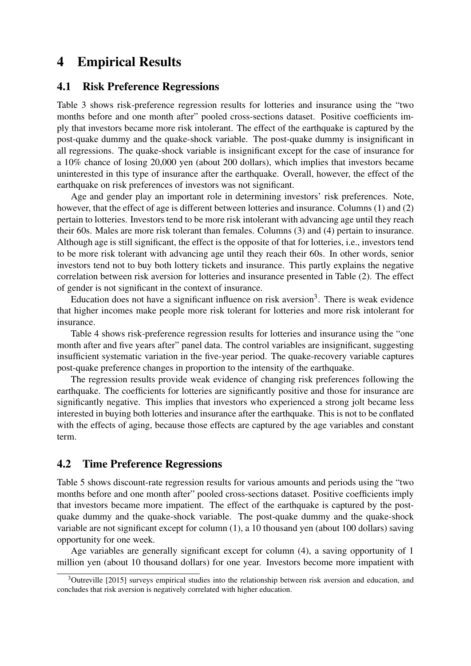# 4 Empirical Results

#### 4.1 Risk Preference Regressions

Table 3 shows risk-preference regression results for lotteries and insurance using the "two months before and one month after" pooled cross-sections dataset. Positive coefficients imply that investors became more risk intolerant. The effect of the earthquake is captured by the post-quake dummy and the quake-shock variable. The post-quake dummy is insignificant in all regressions. The quake-shock variable is insignificant except for the case of insurance for a 10% chance of losing 20,000 yen (about 200 dollars), which implies that investors became uninterested in this type of insurance after the earthquake. Overall, however, the effect of the earthquake on risk preferences of investors was not significant.

Age and gender play an important role in determining investors' risk preferences. Note, however, that the effect of age is different between lotteries and insurance. Columns (1) and (2) pertain to lotteries. Investors tend to be more risk intolerant with advancing age until they reach their 60s. Males are more risk tolerant than females. Columns (3) and (4) pertain to insurance. Although age is still significant, the effect is the opposite of that for lotteries, i.e., investors tend to be more risk tolerant with advancing age until they reach their 60s. In other words, senior investors tend not to buy both lottery tickets and insurance. This partly explains the negative correlation between risk aversion for lotteries and insurance presented in Table (2). The effect of gender is not significant in the context of insurance.

Education does not have a significant influence on risk aversion<sup>3</sup>. There is weak evidence that higher incomes make people more risk tolerant for lotteries and more risk intolerant for insurance.

Table 4 shows risk-preference regression results for lotteries and insurance using the "one month after and five years after" panel data. The control variables are insignificant, suggesting insufficient systematic variation in the five-year period. The quake-recovery variable captures post-quake preference changes in proportion to the intensity of the earthquake.

The regression results provide weak evidence of changing risk preferences following the earthquake. The coefficients for lotteries are significantly positive and those for insurance are significantly negative. This implies that investors who experienced a strong jolt became less interested in buying both lotteries and insurance after the earthquake. This is not to be conflated with the effects of aging, because those effects are captured by the age variables and constant term.

#### 4.2 Time Preference Regressions

Table 5 shows discount-rate regression results for various amounts and periods using the "two months before and one month after" pooled cross-sections dataset. Positive coefficients imply that investors became more impatient. The effect of the earthquake is captured by the postquake dummy and the quake-shock variable. The post-quake dummy and the quake-shock variable are not significant except for column (1), a 10 thousand yen (about 100 dollars) saving opportunity for one week.

Age variables are generally significant except for column (4), a saving opportunity of 1 million yen (about 10 thousand dollars) for one year. Investors become more impatient with

<sup>&</sup>lt;sup>3</sup>Outreville [2015] surveys empirical studies into the relationship between risk aversion and education, and concludes that risk aversion is negatively correlated with higher education.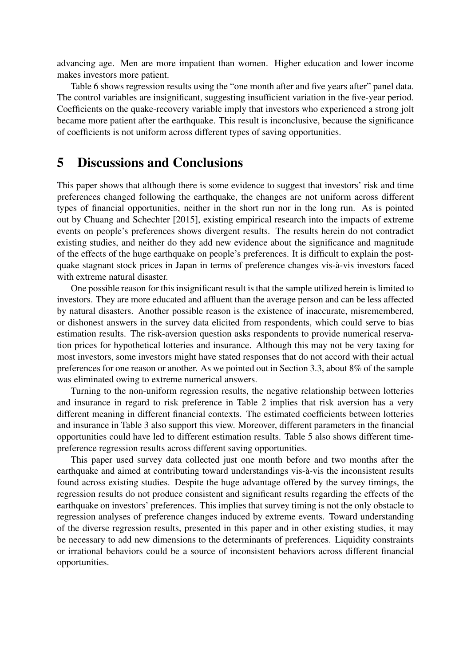advancing age. Men are more impatient than women. Higher education and lower income makes investors more patient.

Table 6 shows regression results using the "one month after and five years after" panel data. The control variables are insignificant, suggesting insufficient variation in the five-year period. Coefficients on the quake-recovery variable imply that investors who experienced a strong jolt became more patient after the earthquake. This result is inconclusive, because the significance of coefficients is not uniform across different types of saving opportunities.

### 5 Discussions and Conclusions

This paper shows that although there is some evidence to suggest that investors' risk and time preferences changed following the earthquake, the changes are not uniform across different types of financial opportunities, neither in the short run nor in the long run. As is pointed out by Chuang and Schechter [2015], existing empirical research into the impacts of extreme events on people's preferences shows divergent results. The results herein do not contradict existing studies, and neither do they add new evidence about the significance and magnitude of the effects of the huge earthquake on people's preferences. It is difficult to explain the postquake stagnant stock prices in Japan in terms of preference changes vis-à-vis investors faced with extreme natural disaster.

One possible reason for this insignificant result is that the sample utilized herein is limited to investors. They are more educated and affluent than the average person and can be less affected by natural disasters. Another possible reason is the existence of inaccurate, misremembered, or dishonest answers in the survey data elicited from respondents, which could serve to bias estimation results. The risk-aversion question asks respondents to provide numerical reservation prices for hypothetical lotteries and insurance. Although this may not be very taxing for most investors, some investors might have stated responses that do not accord with their actual preferences for one reason or another. As we pointed out in Section 3.3, about 8% of the sample was eliminated owing to extreme numerical answers.

Turning to the non-uniform regression results, the negative relationship between lotteries and insurance in regard to risk preference in Table 2 implies that risk aversion has a very different meaning in different financial contexts. The estimated coefficients between lotteries and insurance in Table 3 also support this view. Moreover, different parameters in the financial opportunities could have led to different estimation results. Table 5 also shows different timepreference regression results across different saving opportunities.

This paper used survey data collected just one month before and two months after the earthquake and aimed at contributing toward understandings vis-à-vis the inconsistent results found across existing studies. Despite the huge advantage offered by the survey timings, the regression results do not produce consistent and significant results regarding the effects of the earthquake on investors' preferences. This implies that survey timing is not the only obstacle to regression analyses of preference changes induced by extreme events. Toward understanding of the diverse regression results, presented in this paper and in other existing studies, it may be necessary to add new dimensions to the determinants of preferences. Liquidity constraints or irrational behaviors could be a source of inconsistent behaviors across different financial opportunities.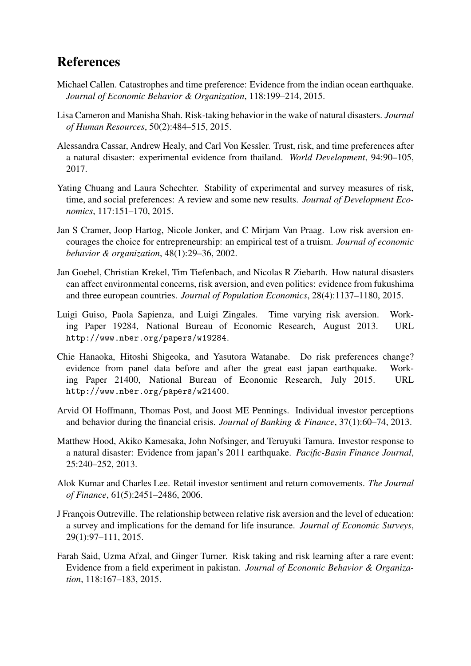# References

- Michael Callen. Catastrophes and time preference: Evidence from the indian ocean earthquake. *Journal of Economic Behavior & Organization*, 118:199–214, 2015.
- Lisa Cameron and Manisha Shah. Risk-taking behavior in the wake of natural disasters. *Journal of Human Resources*, 50(2):484–515, 2015.
- Alessandra Cassar, Andrew Healy, and Carl Von Kessler. Trust, risk, and time preferences after a natural disaster: experimental evidence from thailand. *World Development*, 94:90–105, 2017.
- Yating Chuang and Laura Schechter. Stability of experimental and survey measures of risk, time, and social preferences: A review and some new results. *Journal of Development Economics*, 117:151–170, 2015.
- Jan S Cramer, Joop Hartog, Nicole Jonker, and C Mirjam Van Praag. Low risk aversion encourages the choice for entrepreneurship: an empirical test of a truism. *Journal of economic behavior & organization*, 48(1):29–36, 2002.
- Jan Goebel, Christian Krekel, Tim Tiefenbach, and Nicolas R Ziebarth. How natural disasters can affect environmental concerns, risk aversion, and even politics: evidence from fukushima and three european countries. *Journal of Population Economics*, 28(4):1137–1180, 2015.
- Luigi Guiso, Paola Sapienza, and Luigi Zingales. Time varying risk aversion. Working Paper 19284, National Bureau of Economic Research, August 2013. URL http://www.nber.org/papers/w19284.
- Chie Hanaoka, Hitoshi Shigeoka, and Yasutora Watanabe. Do risk preferences change? evidence from panel data before and after the great east japan earthquake. Working Paper 21400, National Bureau of Economic Research, July 2015. URL http://www.nber.org/papers/w21400.
- Arvid OI Hoffmann, Thomas Post, and Joost ME Pennings. Individual investor perceptions and behavior during the financial crisis. *Journal of Banking & Finance*, 37(1):60–74, 2013.
- Matthew Hood, Akiko Kamesaka, John Nofsinger, and Teruyuki Tamura. Investor response to a natural disaster: Evidence from japan's 2011 earthquake. *Pacific-Basin Finance Journal*, 25:240–252, 2013.
- Alok Kumar and Charles Lee. Retail investor sentiment and return comovements. *The Journal of Finance*, 61(5):2451–2486, 2006.
- J François Outreville. The relationship between relative risk aversion and the level of education: a survey and implications for the demand for life insurance. *Journal of Economic Surveys*, 29(1):97–111, 2015.
- Farah Said, Uzma Afzal, and Ginger Turner. Risk taking and risk learning after a rare event: Evidence from a field experiment in pakistan. *Journal of Economic Behavior & Organization*, 118:167–183, 2015.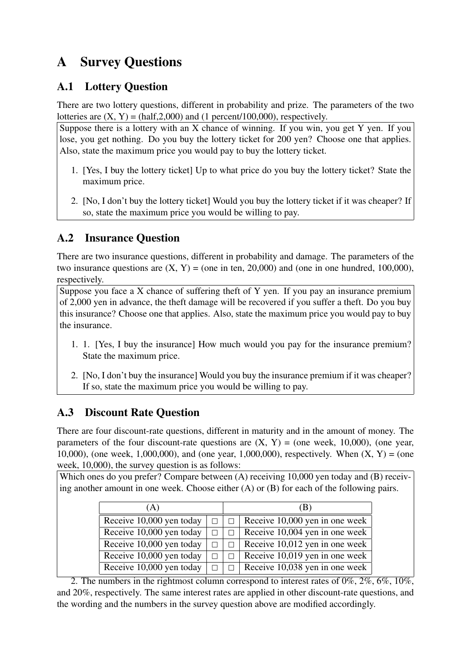# A Survey Questions

### A.1 Lottery Question

There are two lottery questions, different in probability and prize. The parameters of the two lotteries are  $(X, Y) = (half, 2,000)$  and  $(1 percent/100,000)$ , respectively.

Suppose there is a lottery with an X chance of winning. If you win, you get Y yen. If you lose, you get nothing. Do you buy the lottery ticket for 200 yen? Choose one that applies. Also, state the maximum price you would pay to buy the lottery ticket.

- 1. [Yes, I buy the lottery ticket] Up to what price do you buy the lottery ticket? State the maximum price.
- 2. [No, I don't buy the lottery ticket] Would you buy the lottery ticket if it was cheaper? If so, state the maximum price you would be willing to pay.

## A.2 Insurance Question

There are two insurance questions, different in probability and damage. The parameters of the two insurance questions are  $(X, Y) = (one in ten, 20,000)$  and (one in one hundred, 100,000), respectively.

Suppose you face a X chance of suffering theft of Y yen. If you pay an insurance premium of 2,000 yen in advance, the theft damage will be recovered if you suffer a theft. Do you buy this insurance? Choose one that applies. Also, state the maximum price you would pay to buy the insurance.

- 1. 1. [Yes, I buy the insurance] How much would you pay for the insurance premium? State the maximum price.
- 2. [No, I don't buy the insurance] Would you buy the insurance premium if it was cheaper? If so, state the maximum price you would be willing to pay.

# A.3 Discount Rate Question

There are four discount-rate questions, different in maturity and in the amount of money. The parameters of the four discount-rate questions are  $(X, Y) = (one week, 10,000)$ , (one year, 10,000), (one week, 1,000,000), and (one year, 1,000,000), respectively. When  $(X, Y) =$  (one week, 10,000), the survey question is as follows:

Which ones do you prefer? Compare between (A) receiving 10,000 yen today and (B) receiving another amount in one week. Choose either (A) or (B) for each of the following pairs.

| (A)                      | (B) |                                |  |  |  |
|--------------------------|-----|--------------------------------|--|--|--|
| Receive 10,000 yen today |     | Receive 10,000 yen in one week |  |  |  |
| Receive 10,000 yen today |     | Receive 10,004 yen in one week |  |  |  |
| Receive 10,000 yen today |     | Receive 10,012 yen in one week |  |  |  |
| Receive 10,000 yen today |     | Receive 10,019 yen in one week |  |  |  |
| Receive 10,000 yen today |     | Receive 10,038 yen in one week |  |  |  |

2. The numbers in the rightmost column correspond to interest rates of  $0\%, 2\%, 6\%, 10\%$ , and 20%, respectively. The same interest rates are applied in other discount-rate questions, and the wording and the numbers in the survey question above are modified accordingly.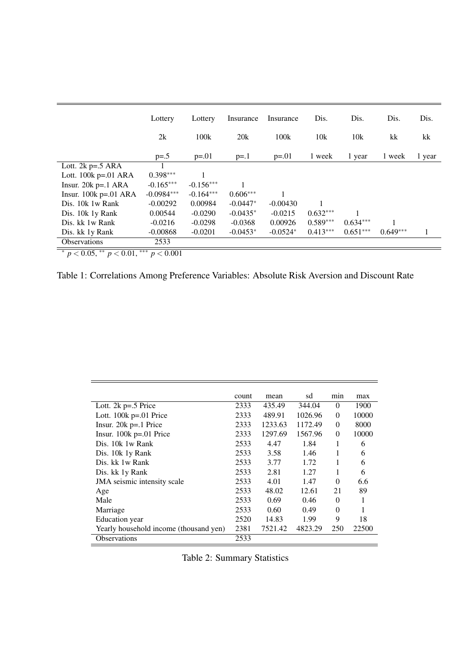|                         | Lottery      | Lottery     | Insurance  | Insurance  | Dis.       | Dis.       | Dis.       | Dis.   |
|-------------------------|--------------|-------------|------------|------------|------------|------------|------------|--------|
|                         | 2k           | 100k        | 20k        | 100k       | 10k        | 10k        | kk         | kk     |
|                         | $p=.5$       | $p=.01$     | $p = 1$    | $p = 0.01$ | 1 week     | 1 year     | 1 week     | 1 year |
| Lott. $2k$ p=.5 ARA     |              |             |            |            |            |            |            |        |
| Lott. $100k$ p=.01 ARA  | $0.398***$   |             |            |            |            |            |            |        |
| Insur. $20k p=.1 ARA$   | $-0.165***$  | $-0.156***$ |            |            |            |            |            |        |
| Insur. $100k$ p=.01 ARA | $-0.0984***$ | $-0.164***$ | $0.606***$ |            |            |            |            |        |
| Dis. 10k 1w Rank        | $-0.00292$   | 0.00984     | $-0.0447*$ | $-0.00430$ |            |            |            |        |
| Dis. 10k 1y Rank        | 0.00544      | $-0.0290$   | $-0.0435*$ | $-0.0215$  | $0.632***$ |            |            |        |
| Dis. kk 1w Rank         | $-0.0216$    | $-0.0298$   | $-0.0368$  | 0.00926    | $0.589***$ | $0.634***$ |            |        |
| Dis. kk 1y Rank         | $-0.00868$   | $-0.0201$   | $-0.0453*$ | $-0.0524*$ | $0.413***$ | $0.651***$ | $0.649***$ |        |
| <b>Observations</b>     | 2533         |             |            |            |            |            |            |        |

∗ *p* < 0.05, ∗∗ *p* < 0.01, ∗∗∗ *p* < 0.001

Table 1: Correlations Among Preference Variables: Absolute Risk Aversion and Discount Rate

|                                        | count | mean    | sd      | min      | max   |
|----------------------------------------|-------|---------|---------|----------|-------|
| Lott. $2k p=.5$ Price                  | 2333  | 435.49  | 344.04  | $\theta$ | 1900  |
| Lott. $100k$ p=.01 Price               | 2333  | 489.91  | 1026.96 | $\Omega$ | 10000 |
| Insur. $20k$ p=.1 Price                | 2333  | 1233.63 | 1172.49 | $\theta$ | 8000  |
| Insur. $100k$ p=.01 Price              | 2333  | 1297.69 | 1567.96 | $\Omega$ | 10000 |
| Dis. 10k 1w Rank                       | 2533  | 4.47    | 1.84    | 1        | 6     |
| Dis. 10k 1y Rank                       | 2533  | 3.58    | 1.46    | 1        | 6     |
| Dis. kk 1w Rank                        | 2533  | 3.77    | 1.72    | 1        | 6     |
| Dis. kk 1y Rank                        | 2533  | 2.81    | 1.27    | 1        | 6     |
| JMA seismic intensity scale            | 2533  | 4.01    | 1.47    | $\theta$ | 6.6   |
| Age                                    | 2533  | 48.02   | 12.61   | 21       | 89    |
| Male                                   | 2533  | 0.69    | 0.46    | $\theta$ | 1     |
| Marriage                               | 2533  | 0.60    | 0.49    | $\theta$ |       |
| Education year                         | 2520  | 14.83   | 1.99    | 9        | 18    |
| Yearly household income (thousand yen) | 2381  | 7521.42 | 4823.29 | 250      | 22500 |
| <b>Observations</b>                    | 2533  |         |         |          |       |

Table 2: Summary Statistics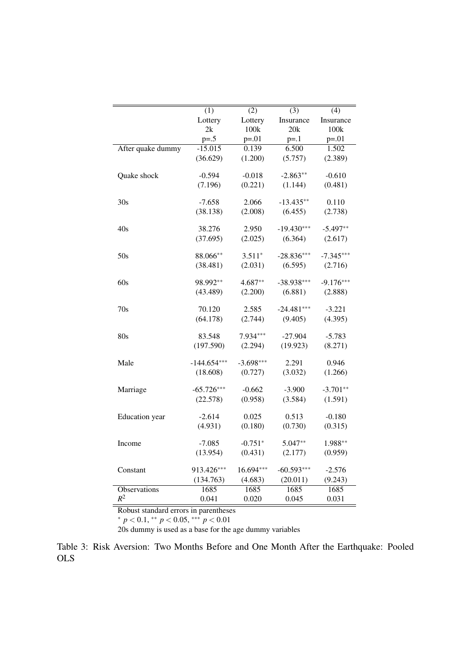|                       | (1)           | (2)         | (3)          | (4)         |
|-----------------------|---------------|-------------|--------------|-------------|
|                       | Lottery       | Lottery     | Insurance    | Insurance   |
|                       | 2k            | 100k        | 20k          | 100k        |
|                       | $p = .5$      | $p = 0.01$  | $p = 1$      | $p = 0.01$  |
| After quake dummy     | $-15.015$     | 0.139       | 6.500        | 1.502       |
|                       | (36.629)      | (1.200)     | (5.757)      | (2.389)     |
|                       |               |             |              |             |
| Quake shock           | $-0.594$      | $-0.018$    | $-2.863**$   | $-0.610$    |
|                       | (7.196)       | (0.221)     | (1.144)      | (0.481)     |
|                       |               |             |              |             |
| 30s                   | $-7.658$      | 2.066       | $-13.435**$  | 0.110       |
|                       | (38.138)      | (2.008)     | (6.455)      | (2.738)     |
|                       |               |             |              |             |
| 40s                   | 38.276        | 2.950       | $-19.430***$ | $-5.497**$  |
|                       | (37.695)      | (2.025)     | (6.364)      | (2.617)     |
|                       |               |             |              |             |
| 50s                   | 88.066**      | $3.511*$    | $-28.836***$ | $-7.345***$ |
|                       | (38.481)      | (2.031)     | (6.595)      | (2.716)     |
| 60s                   | 98.992**      | $4.687**$   | $-38.938***$ | $-9.176***$ |
|                       |               |             |              |             |
|                       | (43.489)      | (2.200)     | (6.881)      | (2.888)     |
| 70s                   | 70.120        | 2.585       | $-24.481***$ | $-3.221$    |
|                       | (64.178)      | (2.744)     | (9.405)      | (4.395)     |
|                       |               |             |              |             |
| 80s                   | 83.548        | 7.934***    | $-27.904$    | $-5.783$    |
|                       | (197.590)     | (2.294)     | (19.923)     | (8.271)     |
|                       |               |             |              |             |
| Male                  | $-144.654***$ | $-3.698***$ | 2.291        | 0.946       |
|                       | (18.608)      | (0.727)     | (3.032)      | (1.266)     |
|                       |               |             |              |             |
| Marriage              | $-65.726***$  | $-0.662$    | $-3.900$     | $-3.701**$  |
|                       | (22.578)      | (0.958)     | (3.584)      | (1.591)     |
| <b>Education</b> year | $-2.614$      | 0.025       | 0.513        | $-0.180$    |
|                       | (4.931)       | (0.180)     | (0.730)      | (0.315)     |
|                       |               |             |              |             |
| Income                | $-7.085$      | $-0.751*$   | 5.047**      | 1.988**     |
|                       | (13.954)      | (0.431)     | (2.177)      | (0.959)     |
|                       |               |             |              |             |
| Constant              | 913.426***    | 16.694***   | $-60.593***$ | $-2.576$    |
|                       | (134.763)     | (4.683)     | (20.011)     | (9.243)     |
| <b>Observations</b>   | 1685          | 1685        | 1685         | 1685        |
| $R^2$                 | 0.041         | 0.020       | 0.045        | 0.031       |

∗ *p* < 0.1, ∗∗ *p* < 0.05, ∗∗∗ *p* < 0.01

20s dummy is used as a base for the age dummy variables

Table 3: Risk Aversion: Two Months Before and One Month After the Earthquake: Pooled OLS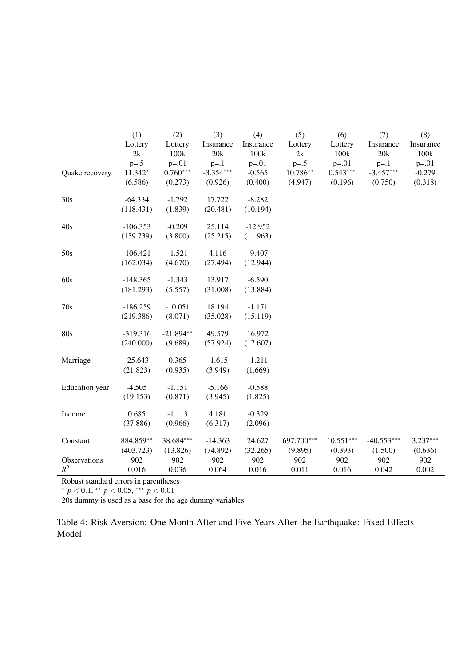|                | $\overline{(1)}$ | $\overline{(2)}$ | $\overline{(3)}$ | $\overline{(4)}$ | $\overline{(5)}$ | $\overline{(6)}$ | (7)          | $\overline{(8)}$ |
|----------------|------------------|------------------|------------------|------------------|------------------|------------------|--------------|------------------|
|                | Lottery          | Lottery          | Insurance        | Insurance        | Lottery          | Lottery          | Insurance    | Insurance        |
|                | 2k               | 100k             | 20k              | 100k             | 2k               | 100k             | 20k          | 100k             |
|                | $p = .5$         | $p = 01$         | $p=.1$           | $p = 01$         | $p = .5$         | $p = 01$         | $p = 1$      | $p = 01$         |
| Quake recovery | $11.342*$        | $0.760***$       | $-3.354***$      | $-0.565$         | $10.786**$       | $0.543***$       | $-3.457***$  | $-0.279$         |
|                | (6.586)          | (0.273)          | (0.926)          | (0.400)          | (4.947)          | (0.196)          | (0.750)      | (0.318)          |
|                |                  |                  |                  |                  |                  |                  |              |                  |
| 30s            | $-64.334$        | $-1.792$         | 17.722           | $-8.282$         |                  |                  |              |                  |
|                | (118.431)        | (1.839)          | (20.481)         | (10.194)         |                  |                  |              |                  |
| 40s            | $-106.353$       | $-0.209$         | 25.114           | $-12.952$        |                  |                  |              |                  |
|                | (139.739)        | (3.800)          | (25.215)         | (11.963)         |                  |                  |              |                  |
|                |                  |                  |                  |                  |                  |                  |              |                  |
| 50s            | $-106.421$       | $-1.521$         | 4.116            | $-9.407$         |                  |                  |              |                  |
|                | (162.034)        | (4.670)          | (27.494)         | (12.944)         |                  |                  |              |                  |
|                |                  |                  |                  |                  |                  |                  |              |                  |
| 60s            | $-148.365$       | $-1.343$         | 13.917           | $-6.590$         |                  |                  |              |                  |
|                | (181.293)        | (5.557)          | (31.008)         | (13.884)         |                  |                  |              |                  |
|                |                  |                  |                  |                  |                  |                  |              |                  |
| 70s            | $-186.259$       | $-10.051$        | 18.194           | $-1.171$         |                  |                  |              |                  |
|                | (219.386)        | (8.071)          | (35.028)         | (15.119)         |                  |                  |              |                  |
| 80s            | $-319.316$       | $-21.894**$      | 49.579           | 16.972           |                  |                  |              |                  |
|                | (240.000)        | (9.689)          |                  | (17.607)         |                  |                  |              |                  |
|                |                  |                  | (57.924)         |                  |                  |                  |              |                  |
| Marriage       | $-25.643$        | 0.365            | $-1.615$         | $-1.211$         |                  |                  |              |                  |
|                | (21.823)         | (0.935)          | (3.949)          | (1.669)          |                  |                  |              |                  |
|                |                  |                  |                  |                  |                  |                  |              |                  |
| Education year | $-4.505$         | $-1.151$         | $-5.166$         | $-0.588$         |                  |                  |              |                  |
|                | (19.153)         | (0.871)          | (3.945)          | (1.825)          |                  |                  |              |                  |
|                |                  |                  |                  |                  |                  |                  |              |                  |
| Income         | 0.685            | $-1.113$         | 4.181            | $-0.329$         |                  |                  |              |                  |
|                | (37.886)         | (0.966)          | (6.317)          | (2.096)          |                  |                  |              |                  |
|                |                  |                  |                  |                  |                  |                  |              |                  |
| Constant       | 884.859**        | 38.684***        | $-14.363$        | 24.627           | 697.700***       | $10.551***$      | $-40.553***$ | $3.237***$       |
|                | (403.723)        | (13.826)         | (74.892)         | (32.265)         | (9.895)          | (0.393)          | (1.500)      | (0.636)          |
| Observations   | 902              | 902              | 902              | 902              | 902              | 902              | 902          | 902              |
| $R^2$          | 0.016            | 0.036            | 0.064            | 0.016            | 0.011            | 0.016            | 0.042        | 0.002            |

∗ *p* < 0.1, ∗∗ *p* < 0.05, ∗∗∗ *p* < 0.01

20s dummy is used as a base for the age dummy variables

Table 4: Risk Aversion: One Month After and Five Years After the Earthquake: Fixed-Effects Model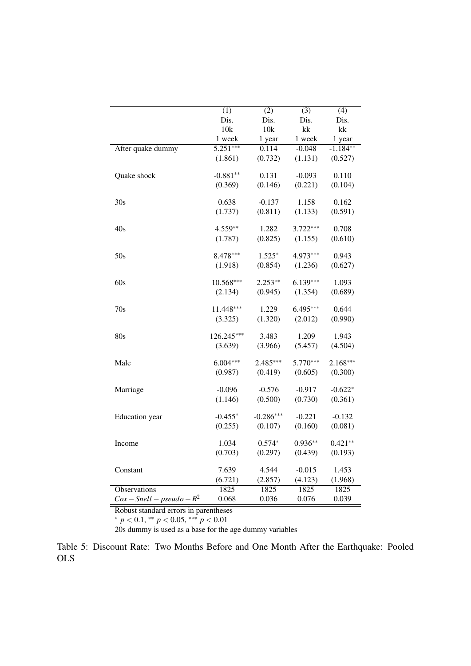|                        | $\overline{(1)}$ | (2)         | $\overline{(3)}$ | (4)        |
|------------------------|------------------|-------------|------------------|------------|
|                        | Dis.             | Dis.        | Dis.             | Dis.       |
|                        | 10k              | 10k         | kk               | kk         |
|                        | 1 week           | 1 year      | 1 week           | 1 year     |
| After quake dummy      | $5.251***$       | 0.114       | $-0.048$         | $-1.184**$ |
|                        | (1.861)          | (0.732)     | (1.131)          | (0.527)    |
| Quake shock            | $-0.881**$       | 0.131       | $-0.093$         | 0.110      |
|                        | (0.369)          | (0.146)     | (0.221)          | (0.104)    |
| 30s                    | 0.638            | $-0.137$    | 1.158            | 0.162      |
|                        | (1.737)          | (0.811)     | (1.133)          | (0.591)    |
| 40s                    | 4.559**          | 1.282       | $3.722***$       | 0.708      |
|                        | (1.787)          | (0.825)     | (1.155)          | (0.610)    |
| 50s                    | 8.478***         | $1.525*$    | 4.973***         | 0.943      |
|                        | (1.918)          | (0.854)     | (1.236)          | (0.627)    |
| 60s                    | $10.568***$      | $2.253**$   | $6.139***$       | 1.093      |
|                        | (2.134)          | (0.945)     | (1.354)          | (0.689)    |
| 70s                    | 11.448***        | 1.229       | 6.495***         | 0.644      |
|                        | (3.325)          | (1.320)     | (2.012)          | (0.990)    |
| 80s                    | 126.245***       | 3.483       | 1.209            | 1.943      |
|                        | (3.639)          | (3.966)     | (5.457)          | (4.504)    |
| Male                   | $6.004***$       | 2.485***    | $5.770***$       | $2.168***$ |
|                        | (0.987)          | (0.419)     | (0.605)          | (0.300)    |
| Marriage               | $-0.096$         | $-0.576$    | $-0.917$         | $-0.622*$  |
|                        | (1.146)          | (0.500)     | (0.730)          | (0.361)    |
| Education year         | $-0.455*$        | $-0.286***$ | $-0.221$         | $-0.132$   |
|                        | (0.255)          | (0.107)     | (0.160)          | (0.081)    |
| Income                 | 1.034            | $0.574*$    | $0.936**$        | $0.421**$  |
|                        | (0.703)          | (0.297)     | (0.439)          | (0.193)    |
| Constant               | 7.639            | 4.544       | $-0.015$         | 1.453      |
|                        | (6.721)          | (2.857)     | (4.123)          | (1.968)    |
| <b>Observations</b>    | 1825             | 1825        | 1825             | 1825       |
| $Cox-Snell-pseudo-R^2$ | 0.068            | 0.036       | 0.076            | 0.039      |

∗ *p* < 0.1, ∗∗ *p* < 0.05, ∗∗∗ *p* < 0.01

20s dummy is used as a base for the age dummy variables

Table 5: Discount Rate: Two Months Before and One Month After the Earthquake: Pooled OLS